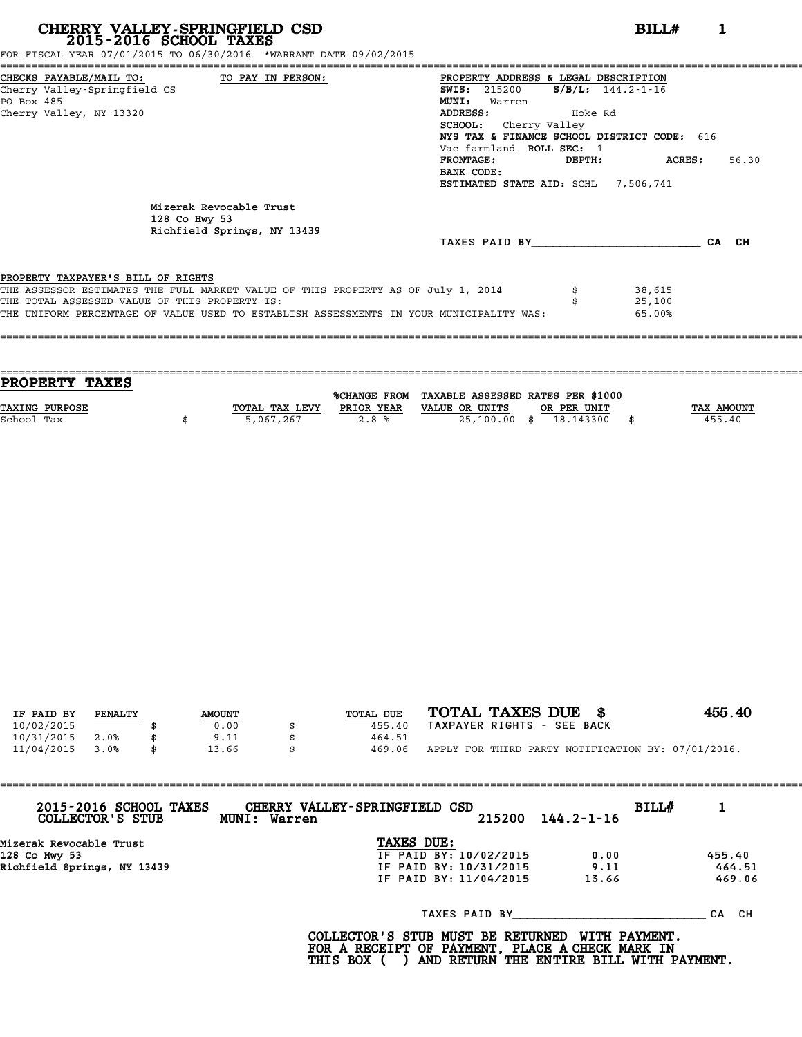| CHERRY VALLEY-SPRINGFIELD CSD<br>2015-2016 SCHOOL TAXES<br>FOR FISCAL YEAR 07/01/2015 TO 06/30/2016 *WARRANT DATE 09/02/2015                                                                                                                                       | BILL#<br>1                                                                                                                                                                                                                                                                                                                                                     |
|--------------------------------------------------------------------------------------------------------------------------------------------------------------------------------------------------------------------------------------------------------------------|----------------------------------------------------------------------------------------------------------------------------------------------------------------------------------------------------------------------------------------------------------------------------------------------------------------------------------------------------------------|
| CHECKS PAYABLE/MAIL TO: TO PAY IN PERSON:<br>Cherry Valley-Springfield CS<br>PO Box 485<br>Cherry Valley, NY 13320                                                                                                                                                 | PROPERTY ADDRESS & LEGAL DESCRIPTION<br>$S/B/L$ : 144.2-1-16<br><b>SWIS: 215200</b><br><b>MUNI:</b><br>Warren<br>ADDRESS:<br>Moke Rd Hoke Rd<br>SCHOOL: Cherry Valley<br>NYS TAX & FINANCE SCHOOL DISTRICT CODE: 616<br>Vac farmland ROLL SEC: 1<br><b>FRONTAGE:</b><br>ACRES :<br>56.30<br>DEPTH:<br>BANK CODE:<br><b>ESTIMATED STATE AID: SCHL 7.506.741</b> |
| Mizerak Revocable Trust<br>128 Co Hwy 53<br>Richfield Springs, NY 13439                                                                                                                                                                                            | TAXES PAID BY CA CH                                                                                                                                                                                                                                                                                                                                            |
| PROPERTY TAXPAYER'S BILL OF RIGHTS<br>THE ASSESSOR ESTIMATES THE FULL MARKET VALUE OF THIS PROPERTY AS OF July 1, 2014<br>THE TOTAL ASSESSED VALUE OF THIS PROPERTY IS:<br>THE UNIFORM PERCENTAGE OF VALUE USED TO ESTABLISH ASSESSMENTS IN YOUR MUNICIPALITY WAS: | 38,615<br>25,100<br>65.00%                                                                                                                                                                                                                                                                                                                                     |
|                                                                                                                                                                                                                                                                    |                                                                                                                                                                                                                                                                                                                                                                |

====================================================================================================================================

==================================================================================================================================== **PROPERTY TAXES**

**PROPERTY TAXES**<br>
TAXING PURPOSE TOTAL TAX LEVY PRIOR YEAR VALUE OR UNITS OR PER UNIT TAX AMOUNT<br>
School Tax (155,40) School Tax \$ 5,067,267 2.8 % 25,100.00 \$ 18.143300 \$ 455.40

%CHANGE FROM TAXABLE ASSESSED RATES PER \$1000

| IF PAID BY | PENALTY | <b>AMOUNT</b> | TOTAL DUE    | TOTAL TAXES DUE<br>- 8                             | 455.40 |
|------------|---------|---------------|--------------|----------------------------------------------------|--------|
| 10/02/2015 |         | 0.00          | 455.40       | TAXPAYER RIGHTS - SEE BACK                         |        |
| 10/31/2015 | 2.0%    | \$<br>9.11    | 464.51       |                                                    |        |
| 11/04/2015 | 3.0%    | \$<br>13.66   | \$<br>469.06 | APPLY FOR THIRD PARTY NOTIFICATION BY: 07/01/2016. |        |

| 2015-2016 SCHOOL TAXES<br>COLLECTOR'S STUB | CHERRY VALLEY-SPRINGFIELD CSD<br>215200<br>MUNI: Warren | $144.2 - 1 - 16$ | BILL#    |
|--------------------------------------------|---------------------------------------------------------|------------------|----------|
| Mizerak Revocable Trust<br>128 Co Hwy 53   | TAXES DUE:<br>IF PAID BY: 10/02/2015                    | 0.00             | 455.40   |
| Dichfield Corings NV 12420                 | TE DATN RV, 10/31/2015                                  | 0.11             | $666-51$ |

| Mizerak Revocable Trust     | TAXES DUE:             |       |        |
|-----------------------------|------------------------|-------|--------|
| 128 Co Hwy 53               | IF PAID BY: 10/02/2015 | 0.00  | 455.40 |
| Richfield Springs, NY 13439 | IF PAID BY: 10/31/2015 | 9.11  | 464.51 |
|                             | IF PAID BY: 11/04/2015 | 13.66 | 469.06 |

TAXES PAID BY\_\_\_\_\_\_\_\_\_\_\_\_\_\_\_\_\_\_\_\_\_ \_\_\_\_\_\_\_\_\_\_ CA CH

**COLLECTOR'S STUB MUST BE RETURNED WITH PAYMENT. FOR A RECEIPT OF PAYMENT, PLACE A CHECK MARK IN** COLLECTOR'S STUB MUST BE RETURNED WITH PAYMENT.<br>FOR A RECEIPT OF PAYMENT, PLACE A CHECK MARK IN<br>THIS BOX ( ) AND RETURN THE ENTIRE BILL WITH PAYMENT.